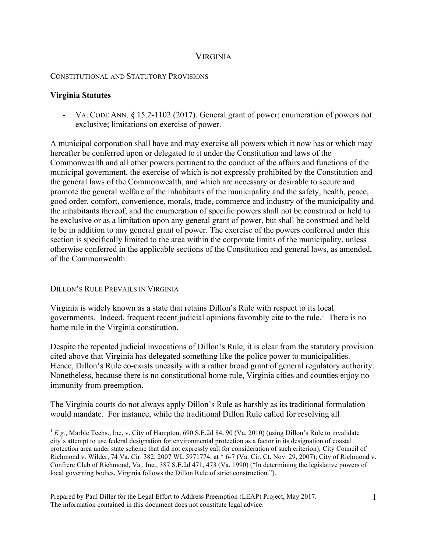## VIRGINIA

## CONSTITUTIONAL AND STATUTORY PROVISIONS

## **Virginia Statutes**

- VA. CODE ANN. § 15.2-1102 (2017). General grant of power; enumeration of powers not exclusive; limitations on exercise of power.

A municipal corporation shall have and may exercise all powers which it now has or which may hereafter be conferred upon or delegated to it under the Constitution and laws of the Commonwealth and all other powers pertinent to the conduct of the affairs and functions of the municipal government, the exercise of which is not expressly prohibited by the Constitution and the general laws of the Commonwealth, and which are necessary or desirable to secure and promote the general welfare of the inhabitants of the municipality and the safety, health, peace, good order, comfort, convenience, morals, trade, commerce and industry of the municipality and the inhabitants thereof, and the enumeration of specific powers shall not be construed or held to be exclusive or as a limitation upon any general grant of power, but shall be construed and held to be in addition to any general grant of power. The exercise of the powers conferred under this section is specifically limited to the area within the corporate limits of the municipality, unless otherwise conferred in the applicable sections of the Constitution and general laws, as amended, of the Commonwealth.

## DILLON'S RULE PREVAILS IN VIRGINIA

Virginia is widely known as a state that retains Dillon's Rule with respect to its local governments. Indeed, frequent recent judicial opinions favorably cite to the rule.<sup>1</sup> There is no home rule in the Virginia constitution.

Despite the repeated judicial invocations of Dillon's Rule, it is clear from the statutory provision cited above that Virginia has delegated something like the police power to municipalities. Hence, Dillon's Rule co-exists uneasily with a rather broad grant of general regulatory authority. Nonetheless, because there is no constitutional home rule, Virginia cities and counties enjoy no immunity from preemption.

The Virginia courts do not always apply Dillon's Rule as harshly as its traditional formulation would mandate. For instance, while the traditional Dillon Rule called for resolving all

<sup>&</sup>lt;sup>1</sup> *E.g.*, Marble Techs., Inc. v. City of Hampton, 690 S.E.2d 84, 90 (Va. 2010) (using Dillon's Rule to invalidate city's attempt to use federal designation for environmental protection as a factor in its designation of coastal protection area under state scheme that did not expressly call for consideration of such criterion); City Council of Richmond v. Wilder, 74 Va. Cir. 382, 2007 WL 5971774, at \* 6-7 (Va. Cir. Ct. Nov. 29, 2007); City of Richmond v. Confrere Club of Richmond, Va., Inc., 387 S.E.2d 471, 473 (Va. 1990) ("In determining the legislative powers of local governing bodies, Virginia follows the Dillon Rule of strict construction.").